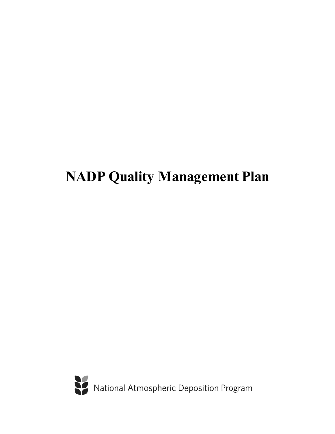# **NADP Quality Management Plan**

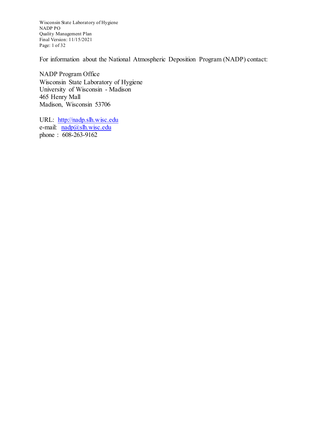Wisconsin State Laboratory of Hygiene NADP PO Quality Management Plan Final Version: 11/15/2021 Page: 1 of 32

For information about the National Atmospheric Deposition Program (NADP) contact:

NADP Program Office Wisconsin State Laboratory of Hygiene University of Wisconsin - Madison 465 Henry Mall Madison, Wisconsin 53706

URL: [http://nadp.slh.wisc.edu](http://nadp.slh.wisc.edu/) e-mail: [nadp@slh.wisc.edu](mailto:nadp@slh.wisc.edu) phone : 608-263-9162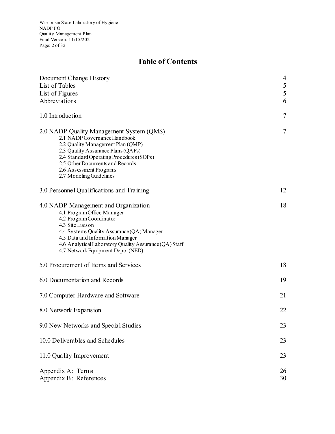Wisconsin State Laboratory of Hygiene NADP PO Quality Management Plan Final Version: 11/15/2021 Page: 2 of 32

# **Table of Contents**

| Document Change History                                                                                                                                                                                                                                                                          | $\overline{4}$ |
|--------------------------------------------------------------------------------------------------------------------------------------------------------------------------------------------------------------------------------------------------------------------------------------------------|----------------|
| List of Tables                                                                                                                                                                                                                                                                                   | $\mathfrak{S}$ |
| List of Figures                                                                                                                                                                                                                                                                                  | 5              |
| Abbreviations                                                                                                                                                                                                                                                                                    | 6              |
| 1.0 Introduction                                                                                                                                                                                                                                                                                 | $\overline{7}$ |
| 2.0 NADP Quality Management System (QMS)<br>2.1 NADP Governance Handbook<br>2.2 Quality Management Plan (QMP)<br>2.3 Quality Assurance Plans (QAPs)<br>2.4 Standard Operating Procedures (SOPs)<br>2.5 Other Documents and Records<br>2.6 Assessment Programs<br>2.7 Modeling Guidelines         | 7              |
| 3.0 Personnel Qualifications and Training                                                                                                                                                                                                                                                        | 12             |
| 4.0 NADP Management and Organization<br>4.1 ProgramOffice Manager<br>4.2 ProgramCoordinator<br>4.3 Site Liaison<br>4.4 Systems Quality Assurance (QA) Manager<br>4.5 Data and Information Manager<br>4.6 Analytical Laboratory Quality Assurance (QA) Staff<br>4.7 Network Equipment Depot (NED) | 18             |
| 5.0 Procurement of Items and Services                                                                                                                                                                                                                                                            | 18             |
| 6.0 Documentation and Records                                                                                                                                                                                                                                                                    | 19             |
| 7.0 Computer Hardware and Software                                                                                                                                                                                                                                                               | 21             |
| 8.0 Network Expansion                                                                                                                                                                                                                                                                            | 22             |
| 9.0 New Networks and Special Studies                                                                                                                                                                                                                                                             | 23             |
| 10.0 Deliverables and Schedules                                                                                                                                                                                                                                                                  | 23             |
| 11.0 Quality Improvement                                                                                                                                                                                                                                                                         | 23             |
| Appendix A: Terms<br>Appendix B: References                                                                                                                                                                                                                                                      | 26<br>30       |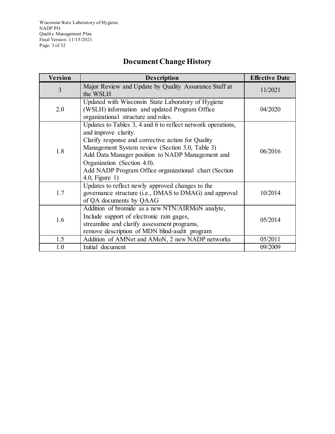Wisconsin State Laboratory of Hygiene NADP PO Quality Management Plan Final Version: 11/15/2021 Page: 3 of 32

# **Document Change History**

| Version | <b>Description</b>                                                                                                                                                                                                                                                                                                                                            | <b>Effective Date</b> |
|---------|---------------------------------------------------------------------------------------------------------------------------------------------------------------------------------------------------------------------------------------------------------------------------------------------------------------------------------------------------------------|-----------------------|
| 3       | Major Review and Update by Quality Assurance Staff at<br>the WSLH                                                                                                                                                                                                                                                                                             | 11/2021               |
| 2.0     | Updated with Wisconsin State Laboratory of Hygiene<br>(WSLH) information and updated Program Office<br>organizational structure and roles.                                                                                                                                                                                                                    | 04/2020               |
| 1.8     | Updates to Tables 3, 4 and 6 to reflect network operations,<br>and improve clarity.<br>Clarify response and corrective action for Quality<br>Management System review (Section 3.0, Table 3)<br>Add Data Manager position to NADP Management and<br>Organization (Section 4.0).<br>Add NADP Program Office organizational chart (Section<br>$4.0$ , Figure 1) | 06/2016               |
| 1.7     | Updates to reflect newly approved changes to the<br>governance structure (i.e., DMAS to DMAG) and approval<br>of QA documents by QAAG                                                                                                                                                                                                                         | 10/2014               |
| 1.6     | Addition of bromide as a new NTN/AIRMoN analyte,<br>Include support of electronic rain gages,<br>streamline and clarify assessment programs,<br>remove description of MDN blind-audit program                                                                                                                                                                 | 05/2014               |
| 1.5     | Addition of AMNet and AMoN, 2 new NADP networks                                                                                                                                                                                                                                                                                                               | 05/2011               |
| 1.0     | Initial document                                                                                                                                                                                                                                                                                                                                              | 09/2009               |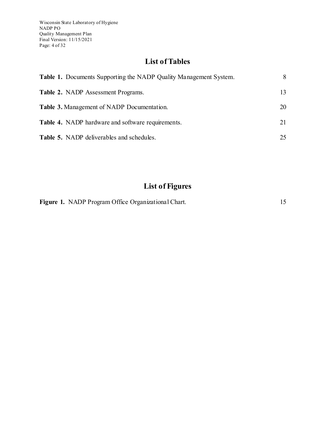# **List of Tables**

| <b>Table 1.</b> Documents Supporting the NADP Quality Management System. | 8  |
|--------------------------------------------------------------------------|----|
| <b>Table 2.</b> NADP Assessment Programs.                                | 13 |
| <b>Table 3.</b> Management of NADP Documentation.                        | 20 |
| Table 4. NADP hardware and software requirements.                        | 21 |
| <b>Table 5.</b> NADP deliverables and schedules.                         | 25 |

# **List of Figures**

|  |  | Figure 1. NADP Program Office Organizational Chart. |  |
|--|--|-----------------------------------------------------|--|
|--|--|-----------------------------------------------------|--|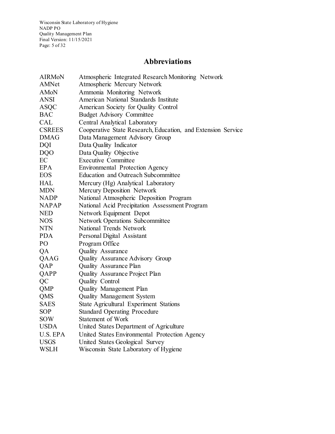Wisconsin State Laboratory of Hygiene NADP PO Quality Management Plan Final Version: 11/15/2021 Page: 5 of 32

# **Abbreviations**

| <b>AIRMoN</b> | Atmospheric Integrated Research Monitoring Network           |
|---------------|--------------------------------------------------------------|
| AMNet         | Atmospheric Mercury Network                                  |
| AMoN          | Ammonia Monitoring Network                                   |
| ANSI          | American National Standards Institute                        |
| ASQC          | American Society for Quality Control                         |
| <b>BAC</b>    | <b>Budget Advisory Committee</b>                             |
| <b>CAL</b>    | Central Analytical Laboratory                                |
| <b>CSREES</b> | Cooperative State Research, Education, and Extension Service |
| <b>DMAG</b>   | Data Management Advisory Group                               |
| <b>DQI</b>    | Data Quality Indicator                                       |
| <b>DQO</b>    | Data Quality Objective                                       |
| EC            | <b>Executive Committee</b>                                   |
| <b>EPA</b>    | Environmental Protection Agency                              |
| <b>EOS</b>    | Education and Outreach Subcommittee                          |
| <b>HAL</b>    | Mercury (Hg) Analytical Laboratory                           |
| <b>MDN</b>    | Mercury Deposition Network                                   |
| <b>NADP</b>   | National Atmospheric Deposition Program                      |
| <b>NAPAP</b>  | National Acid Precipitation Assessment Program               |
| <b>NED</b>    | Network Equipment Depot                                      |
| <b>NOS</b>    | <b>Network Operations Subcommittee</b>                       |
| <b>NTN</b>    | National Trends Network                                      |
| <b>PDA</b>    | Personal Digital Assistant                                   |
| PO            | Program Office                                               |
| QA            | <b>Quality Assurance</b>                                     |
| QAAG          | Quality Assurance Advisory Group                             |
| QAP           | Quality Assurance Plan                                       |
| QAPP          | Quality Assurance Project Plan                               |
| QC            | Quality Control                                              |
| QMP           | <b>Quality Management Plan</b>                               |
| QMS           | <b>Quality Management System</b>                             |
| SAES          | State Agricultural Experiment Stations                       |
| <b>SOP</b>    | <b>Standard Operating Procedure</b>                          |
| <b>SOW</b>    | Statement of Work                                            |
| <b>USDA</b>   | United States Department of Agriculture                      |
| U.S. EPA      | United States Environmental Protection Agency                |
| <b>USGS</b>   | United States Geological Survey                              |
| WSLH          | Wisconsin State Laboratory of Hygiene                        |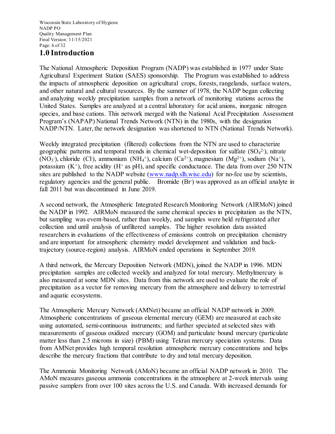#### **1.0 Introduction**

The National Atmospheric Deposition Program (NADP) was established in 1977 under State Agricultural Experiment Station (SAES) sponsorship. The Program was established to address the impacts of atmospheric deposition on agricultural crops, forests, rangelands, surface waters, and other natural and cultural resources. By the summer of 1978, the NADP began collecting and analyzing weekly precipitation samples from a network of monitoring stations across the United States. Samples are analyzed at a central laboratory for acid anions, inorganic nitrogen species, and base cations. This network merged with the National Acid Precipitation Assessment Program's (NAPAP) National Trends Network (NTN) in the 1980s, with the designation NADP/NTN. Later, the network designation was shortened to NTN (National Trends Network).

Weekly integrated precipitation (filtered) collections from the NTN are used to characterize geographic patterns and temporal trends in chemical wet-deposition for sulfate  $(SO<sub>4</sub><sup>2</sup>)$ , nitrate (NO<sub>3</sub><sup>-</sup>), chloride (Cl<sup>-</sup>), ammonium (NH<sub>4</sub><sup>+</sup>), calcium (Ca<sup>2+</sup>), magnesium (Mg<sup>2+</sup>), sodium (Na<sup>+</sup>), potassium  $(K^+)$ , free acidity  $(H^+$  as pH), and specific conductance. The data from over 250 NTN sites are published to the NADP website [\(www.nadp.slh.wisc.edu\)](http://www.nadp.slh.wisc.edu/) for no-fee use by scientists, regulatory agencies and the general public. Bromide (Br) was approved as an official analyte in fall 2011 but was discontinued in June 2019.

A second network, the Atmospheric Integrated Research Monitoring Network (AIRMoN) joined the NADP in 1992. AIRMoN measured the same chemical species in precipitation as the NTN, but sampling was event-based, rather than weekly, and samples were held refrigerated after collection and until analysis of unfiltered samples. The higher resolution data assisted researchers in evaluations of the effectiveness of emissions controls on precipitation chemistry and are important for atmospheric chemistry model development and validation and backtrajectory (source-region) analysis. AIRMoN ended operations in September 2019.

A third network, the Mercury Deposition Network (MDN), joined the NADP in 1996. MDN precipitation samples are collected weekly and analyzed for total mercury. Methylmercury is also measured at some MDN sites. Data from this network are used to evaluate the role of precipitation as a vector for removing mercury from the atmosphere and delivery to terrestrial and aquatic ecosystems.

The Atmospheric Mercury Network (AMNet) became an official NADP network in 2009. Atmospheric concentrations of gaseous elemental mercury (GEM) are measured at each site using automated, semi-continuous instruments; and further speciated at selected sites with measurements of gaseous oxidized mercury (GOM) and particulate bound mercury (particulate matter less than 2.5 microns in size) (PBM) using Tekran mercury speciation systems. Data from AMNet provides high temporal resolution atmospheric mercury concentrations and helps describe the mercury fractions that contribute to dry and total mercury deposition.

The Ammonia Monitoring Network (AMoN) became an official NADP network in 2010. The AMoN measures gaseous ammonia concentrations in the atmosphere at 2-week intervals using passive samplers from over 100 sites across the U.S. and Canada. With increased demands for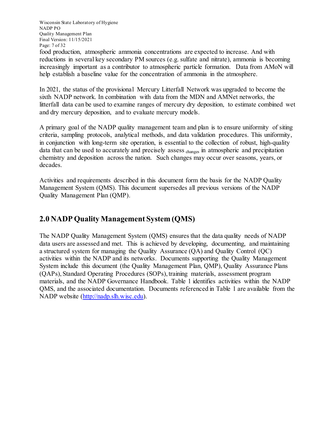Wisconsin State Laboratory of Hygiene NADP PO Quality Management Plan Final Version: 11/15/2021 Page: 7 of 32

food production, atmospheric ammonia concentrations are expected to increase. And with reductions in several key secondary PM sources (e.g. sulfate and nitrate), ammonia is becoming increasingly important as a contributor to atmospheric particle formation. Data from AMoN will help establish a baseline value for the concentration of ammonia in the atmosphere.

In 2021, the status of the provisional Mercury Litterfall Network was upgraded to become the sixth NADP network. In combination with data from the MDN and AMNet networks, the litterfall data can be used to examine ranges of mercury dry deposition, to estimate combined wet and dry mercury deposition, and to evaluate mercury models.

A primary goal of the NADP quality management team and plan is to ensure uniformity of siting criteria, sampling protocols, analytical methods, and data validation procedures. This uniformity, in conjunction with long-term site operation, is essential to the collection of robust, high-quality data that can be used to accurately and precisely assess changes in atmospheric and precipitation chemistry and deposition across the nation. Such changes may occur over seasons, years, or decades.

Activities and requirements described in this document form the basis for the NADP Quality Management System (QMS). This document supersedes all previous versions of the NADP Quality Management Plan (QMP).

## **2.0 NADP Quality Management System (QMS)**

The NADP Quality Management System (QMS) ensures that the data quality needs of NADP data users are assessed and met. This is achieved by developing, documenting, and maintaining a structured system for managing the Quality Assurance (QA) and Quality Control (QC) activities within the NADP and its networks. Documents supporting the Quality Management System include this document (the Quality Management Plan, QMP), Quality Assurance Plans (QAPs), Standard Operating Procedures (SOPs), training materials, assessment program materials, and the NADP Governance Handbook. Table 1 identifies activities within the NADP QMS, and the associated documentation. Documents referenced in Table 1 are available from the NADP website [\(http://nadp.slh.wisc.edu\).](http://nadp.slh.wisc.edu/)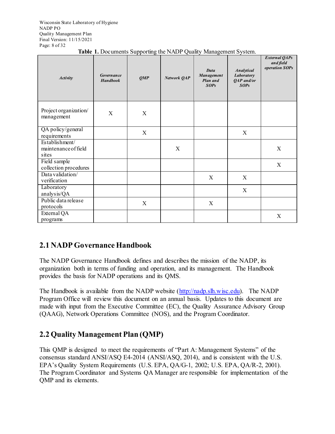Wisconsin State Laboratory of Hygiene NADP PO Quality Management Plan Final Version: 11/15/2021 Page: 8 of 32

| <b>Activity</b>                                 | <b>Governance</b><br><b>Handbook</b> | OMP                       | Network QAP | <b>Data</b><br>Management<br>Plan and<br>SOPS | <b>Analytical</b><br>Laboratory<br>QAP and/or<br>SOPS | <b>External QAPs</b><br>and field<br>operation SOPs |
|-------------------------------------------------|--------------------------------------|---------------------------|-------------|-----------------------------------------------|-------------------------------------------------------|-----------------------------------------------------|
| Project organization/<br>management             | X                                    | $\boldsymbol{\mathrm{X}}$ |             |                                               |                                                       |                                                     |
| QA policy/general<br>requirements               |                                      | X                         |             |                                               | $\boldsymbol{X}$                                      |                                                     |
| Establishment/<br>maintenance of field<br>sites |                                      |                           | X           |                                               |                                                       | X                                                   |
| Field sample<br>collection procedures           |                                      |                           |             |                                               |                                                       | X                                                   |
| Data validation/<br>verification                |                                      |                           |             | X                                             | X                                                     |                                                     |
| Laboratory<br>analysis/QA                       |                                      |                           |             |                                               | X                                                     |                                                     |
| Public data release<br>protocols                |                                      | $\boldsymbol{X}$          |             | X                                             |                                                       |                                                     |
| External QA<br>programs                         |                                      |                           |             |                                               |                                                       | $\boldsymbol{\mathrm{X}}$                           |

# **2.1 NADP Governance Handbook**

The NADP Governance Handbook defines and describes the mission of the NADP, its organization both in terms of funding and operation, and its management. The Handbook provides the basis for NADP operations and its QMS.

The Handbook is available from the NADP website [\(http://nadp.slh.wisc.edu\).](http://nadp.slh.wisc.edu/) The NADP Program Office will review this document on an annual basis. Updates to this document are made with input from the Executive Committee (EC), the Quality Assurance Advisory Group (QAAG), Network Operations Committee (NOS), and the Program Coordinator.

# **2.2 Quality Management Plan (QMP)**

This QMP is designed to meet the requirements of "Part A: Management Systems" of the consensus standard ANSI/ASQ E4-2014 (ANSI/ASQ, 2014), and is consistent with the U.S. EPA's Quality System Requirements (U.S. EPA, QA/G-1, 2002; U.S. EPA, QA/R-2, 2001). The Program Coordinator and Systems QA Manager are responsible for implementation of the QMP and its elements.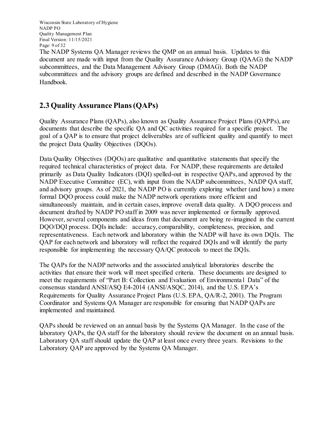Wisconsin State Laboratory of Hygiene NADP PO Quality Management Plan Final Version: 11/15/2021 Page: 9 of 32

The NADP Systems QA Manager reviews the QMP on an annual basis. Updates to this document are made with input from the Quality Assurance Advisory Group (QAAG) the NADP subcommittees, and the Data Management Advisory Group (DMAG). Both the NADP subcommittees and the advisory groups are defined and described in the NADP Governance Handbook.

## **2.3 Quality Assurance Plans (QAPs)**

Quality Assurance Plans (QAPs), also known as Quality Assurance Project Plans (QAPPs), are documents that describe the specific QA and QC activities required for a specific project. The goal of a QAP is to ensure that project deliverables are of sufficient quality and quantify to meet the project Data Quality Objectives (DQOs).

Data Quality Objectives (DQOs) are qualitative and quantitative statements that specify the required technical characteristics of project data. For NADP, these requirements are detailed primarily as Data Quality Indicators (DQI) spelled-out in respective QAPs, and approved by the NADP Executive Committee (EC), with input from the NADP subcommittees, NADP QA staff, and advisory groups. As of 2021, the NADP PO is currently exploring whether (and how) a more formal DQO process could make the NADP network operations more efficient and simultaneously maintain, and in certain cases, improve overall data quality. A DQO process and document drafted by NADP PO staff in 2009 was never implemented or formally approved. However, several components and ideas from that document are being re-imagined in the current DQO/DQI process. DQIs include: accuracy, comparability, completeness, precision, and representativeness. Each network and laboratory within the NADP will have its own DQIs. The QAP for each network and laboratory will reflect the required DQIs and will identify the party responsible for implementing the necessary QA/QC protocols to meet the DQIs.

The QAPs for the NADP networks and the associated analytical laboratories describe the activities that ensure their work will meet specified criteria. These documents are designed to meet the requirements of "Part B: Collection and Evaluation of Environmenta l Data" of the consensus standard ANSI/ASQ E4-2014 (ANSI/ASQC, 2014), and the U.S. EPA's Requirements for Quality Assurance Project Plans (U.S. EPA, QA/R-2, 2001). The Program Coordinator and Systems QA Manager are responsible for ensuring that NADP QAPs are implemented and maintained.

QAPs should be reviewed on an annual basis by the Systems QA Manager. In the case of the laboratory QAPs, the QA staff for the laboratory should review the document on an annual basis. Laboratory QA staff should update the QAP at least once every three years. Revisions to the Laboratory QAP are approved by the Systems QA Manager.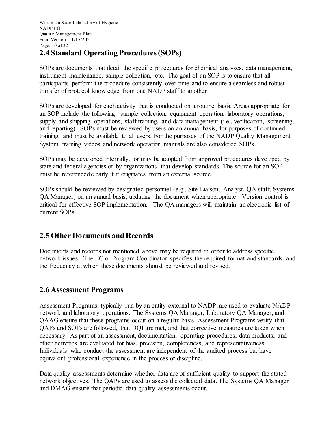# **2.4 Standard Operating Procedures (SOPs)**

SOPs are documents that detail the specific procedures for chemical analyses, data management, instrument maintenance, sample collection, etc. The goal of an SOP is to ensure that all participants perform the procedure consistently over time and to ensure a seamless and robust transfer of protocol knowledge from one NADP staff to another

SOPs are developed for each activity that is conducted on a routine basis. Areas appropriate for an SOP include the following: sample collection, equipment operation, laboratory operations, supply and shipping operations, staff training, and data management (i.e., verification, screening, and reporting). SOPs must be reviewed by users on an annual basis, for purposes of continued training, and must be available to all users. For the purposes of the NADP Quality Management System, training videos and network operation manuals are also considered SOPs.

SOPs may be developed internally, or may be adopted from approved procedures developed by state and federal agencies or by organizations that develop standards. The source for an SOP must be referenced clearly if it originates from an external source.

SOPs should be reviewed by designated personnel (e.g., Site Liaison, Analyst, QA staff, Systems QA Manager) on an annual basis, updating the document when appropriate. Version control is critical for effective SOP implementation. The QA managers will maintain an electronic list of current SOPs.

# **2.5 Other Documents and Records**

Documents and records not mentioned above may be required in order to address specific network issues. The EC or Program Coordinator specifies the required format and standards, and the frequency at which these documents should be reviewed and revised.

# **2.6 Assessment Programs**

Assessment Programs, typically run by an entity external to NADP, are used to evaluate NADP network and laboratory operations. The Systems QA Manager, Laboratory QA Manager, and QAAG ensure that these programs occur on a regular basis. Assessment Programs verify that QAPs and SOPs are followed, that DQI are met, and that corrective measures are taken when necessary. As part of an assessment, documentation, operating procedures, data products, and other activities are evaluated for bias, precision, completeness, and representativeness. Individuals who conduct the assessment are independent of the audited process but have equivalent professional experience in the process or discipline.

Data quality assessments determine whether data are of sufficient quality to support the stated network objectives. The QAPs are used to assess the collected data. The Systems QA Manager and DMAG ensure that periodic data quality assessments occur.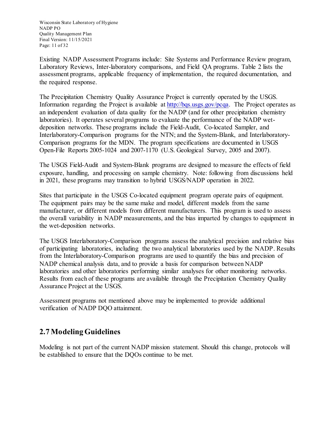Wisconsin State Laboratory of Hygiene NADP PO Quality Management Plan Final Version: 11/15/2021 Page: 11 of 32

Existing NADP Assessment Programs include: Site Systems and Performance Review program, Laboratory Reviews, Inter-laboratory comparisons, and Field QA programs. Table 2 lists the assessment programs, applicable frequency of implementation, the required documentation, and the required response.

The Precipitation Chemistry Quality Assurance Project is currently operated by the USGS. Information regarding the Project is available at [http://bqs.usgs.gov/pcqa.](http://bqs.usgs.gov/pcqa) The Project operates as an independent evaluation of data quality for the NADP (and for other precipitation chemistry laboratories). It operates several programs to evaluate the performance of the NADP wetdeposition networks. These programs include the Field-Audit, Co-located Sampler, and Interlaboratory-Comparison programs for the NTN; and the System-Blank, and Interlaboratory-Comparison programs for the MDN. The program specifications are documented in USGS Open-File Reports 2005-1024 and 2007-1170 (U.S. Geological Survey, 2005 and 2007).

The USGS Field-Audit and System-Blank programs are designed to measure the effects of field exposure, handling, and processing on sample chemistry. Note: following from discussions held in 2021, these programs may transition to hybrid USGS/NADP operation in 2022.

Sites that participate in the USGS Co-located equipment program operate pairs of equipment. The equipment pairs may be the same make and model, different models from the same manufacturer, or different models from different manufacturers. This program is used to assess the overall variability in NADP measurements, and the bias imparted by changes to equipment in the wet-deposition networks.

The USGS Interlaboratory-Comparison programs assess the analytical precision and relative bias of participating laboratories, including the two analytical laboratories used by the NADP. Results from the Interlaboratory-Comparison programs are used to quantify the bias and precision of NADP chemical analysis data, and to provide a basis for comparison between NADP laboratories and other laboratories performing similar analyses for other monitoring networks. Results from each of these programs are available through the Precipitation Chemistry Quality Assurance Project at the USGS.

Assessment programs not mentioned above may be implemented to provide additional verification of NADP DQO attainment.

# **2.7 Modeling Guidelines**

Modeling is not part of the current NADP mission statement. Should this change, protocols will be established to ensure that the DQOs continue to be met.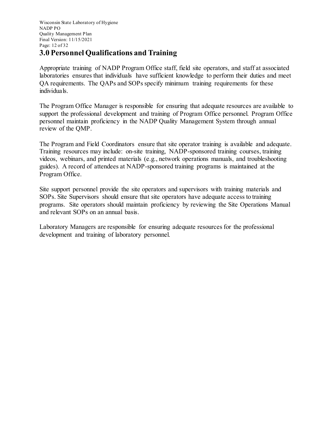Wisconsin State Laboratory of Hygiene NADP PO Quality Management Plan Final Version: 11/15/2021 Page: 12 of 32

#### **3.0 Personnel Qualifications and Training**

Appropriate training of NADP Program Office staff, field site operators, and staff at associated laboratories ensures that individuals have sufficient knowledge to perform their duties and meet QA requirements. The QAPs and SOPs specify minimum training requirements for these individuals.

The Program Office Manager is responsible for ensuring that adequate resources are available to support the professional development and training of Program Office personnel. Program Office personnel maintain proficiency in the NADP Quality Management System through annual review of the QMP.

The Program and Field Coordinators ensure that site operator training is available and adequate. Training resources may include: on-site training, NADP-sponsored training courses, training videos, webinars, and printed materials (e.g., network operations manuals, and troubleshooting guides). A record of attendees at NADP-sponsored training programs is maintained at the Program Office.

Site support personnel provide the site operators and supervisors with training materials and SOPs. Site Supervisors should ensure that site operators have adequate access to training programs. Site operators should maintain proficiency by reviewing the Site Operations Manual and relevant SOPs on an annual basis.

Laboratory Managers are responsible for ensuring adequate resources for the professional development and training of laboratory personnel.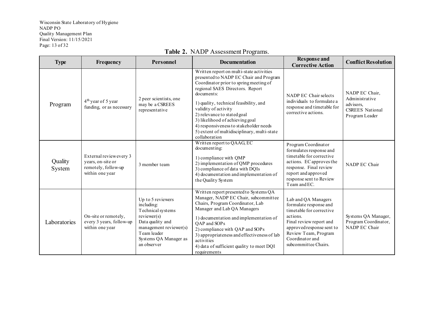Wisconsin State Laboratory of Hygiene NADP PO Quality Management Plan Final Version: 11/15/2021 Page: 13 of 32

| <b>Type</b>       | Frequency                                                                             | Personnel                                                                                                                                                                | <b>Documentation</b>                                                                                                                                                                                                                                                                                                                                                                                                        | <b>Response</b> and<br><b>Corrective Action</b>                                                                                                                                                                  | <b>Conflict Resolution</b>                                                                |
|-------------------|---------------------------------------------------------------------------------------|--------------------------------------------------------------------------------------------------------------------------------------------------------------------------|-----------------------------------------------------------------------------------------------------------------------------------------------------------------------------------------------------------------------------------------------------------------------------------------------------------------------------------------------------------------------------------------------------------------------------|------------------------------------------------------------------------------------------------------------------------------------------------------------------------------------------------------------------|-------------------------------------------------------------------------------------------|
| Program           | $4th$ year of 5 year<br>funding, or as necessary                                      | 2 peer scientists, one<br>may be a CSREES<br>representative                                                                                                              | Written report on multi-state activities<br>presented to NADP EC Chair and Program<br>Coordinator prior to spring meeting of<br>regional SAES Directors. Report<br>documents:<br>1) quality, technical feasibility, and<br>validity of activity<br>2) relevance to stated goal<br>3) likelihood of achieving goal<br>4) responsiveness to stakeholder needs<br>5) extent of multidisciplinary, multi-state<br>collaboration | NADP EC Chair selects<br>individuals to formulate a<br>response and timetable for<br>corrective actions.                                                                                                         | NADP EC Chair,<br>Administrative<br>advisors.<br><b>CSREES</b> National<br>Program Leader |
| Quality<br>System | External reviewevery 3<br>years, on-site or<br>remotely, follow-up<br>within one year | 3 member team                                                                                                                                                            | Written report to QAAG, EC<br>documenting:<br>1) compliance with OMP<br>2) implementation of QMP procedures<br>3) compliance of data with DQIs<br>4) documentation and implementation of<br>the Quality System                                                                                                                                                                                                              | Program Coordinator<br>formulates response and<br>timetable for corrective<br>actions. EC approves the<br>response. Final review<br>report and approved<br>response sent to Review<br>Team and EC.               | NADP EC Chair                                                                             |
| Laboratories      | On-site or remotely,<br>every 3 years, follow-up<br>within one year                   | Up to 5 reviewers<br>including:<br>Technical systems<br>reviewer(s)<br>Data quality and<br>management reviewer(s)<br>Team leader<br>Systems QA Manager as<br>an observer | Written report presented to Systems QA<br>Manager, NADP EC Chair, subcommittee<br>Chairs, Program Coordinator, Lab<br>Manager and Lab QA Managers<br>1) documentation and implementation of<br>OAP and SOPs<br>2) compliance with QAP and SOPs<br>3) appropriateness and effectiveness of lab<br>activities<br>4) data of sufficient quality to meet DQI<br>requirements                                                    | Lab and QA Managers<br>formulate response and<br>timetable for corrective<br>actions.<br>Final review report and<br>approved response sent to<br>Review Team, Program<br>Coordinator and<br>subcommittee Chairs. | Systems QA Manager,<br>Program Coordinator,<br>NADP EC Chair                              |

#### **Table 2.** NADP Assessment Programs.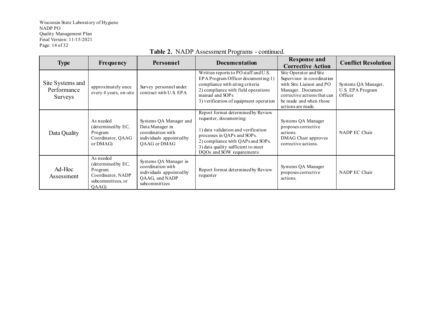Wisconsin State Laboratory of Hygiene NADP PO Quality Management Plan Final Version: 11/15/2021 Page: 14 of 32

| <b>Type</b>                                | Frequency                                                                                     | Personnel                                                                                                  | <b>Documentation</b>                                                                                                                                                                                                                        | <b>Response and</b><br><b>Corrective Action</b>                                                                                                                                     | <b>Conflict Resolution</b>                         |
|--------------------------------------------|-----------------------------------------------------------------------------------------------|------------------------------------------------------------------------------------------------------------|---------------------------------------------------------------------------------------------------------------------------------------------------------------------------------------------------------------------------------------------|-------------------------------------------------------------------------------------------------------------------------------------------------------------------------------------|----------------------------------------------------|
| Site Systems and<br>Performance<br>Surveys | approximately once<br>every 4 years, on-site                                                  | Survey personnel under<br>contract with U.S. EPA                                                           | Written reports to PO staff and U.S.<br>EPA Program Officer documenting:1)<br>compliance with siting criteria<br>2) compliance with field operations<br>manual and SOPs<br>3) verification of equipment operation                           | Site Operator and Site<br>Supervisor in coordination<br>with Site Liaison and PO<br>Manager. Document<br>corrective actions that can<br>be made and when those<br>actions are made. | Systems QA Manager,<br>U.S. EPA Program<br>Officer |
| Data Quality                               | As needed<br>(determined by EC,<br>Program<br>Coordinator, QAAG<br>or DMAG)                   | Systems QA Manager and<br>Data Manager in<br>coordination with<br>individuals appointed by<br>OAAG or DMAG | Report format determined by Review<br>requester, documenting:<br>1) data validation and verification<br>processes in QAPs and SOPs.<br>2) compliance with QAPs and SOPs.<br>3) data quality sufficient to meet<br>DQOs and SOW requirements | Systems QA Manager<br>proposes corrective<br>actions.<br>DMAG Chair approves<br>corrective actions.                                                                                 | NADP EC Chair                                      |
| Ad-Hoc<br>Assessment                       | As needed<br>(determined by EC,<br>Program<br>Coordinator, NADP<br>subcommittees, or<br>QAAG) | Systems QA Manager in<br>coordination with<br>individuals appointed by<br>QAAG, and NADP<br>subcommittees  | Report format determined by Review<br>requester                                                                                                                                                                                             | Systems QA Manager<br>proposes corrective<br>actions.                                                                                                                               | NADP EC Chair                                      |

#### **Table 2.** NADP Assessment Programs - continued.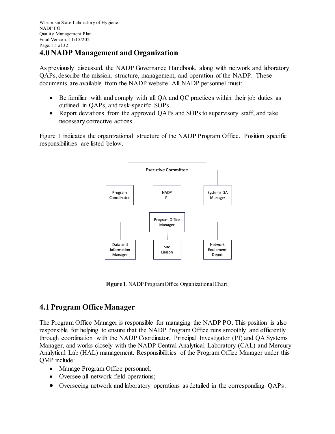#### **4.0 NADP Management and Organization**

As previously discussed, the NADP Governance Handbook, along with network and laboratory QAPs, describe the mission, structure, management, and operation of the NADP. These documents are available from the NADP website. All NADP personnel must:

- Be familiar with and comply with all QA and QC practices within their job duties as outlined in QAPs, and task-specific SOPs.
- Report deviations from the approved QAPs and SOPs to supervisory staff, and take necessary corrective actions.

Figure 1 indicates the organizational structure of the NADP Program Office. Position specific responsibilities are listed below.



**Figure 1**. NADP Program Office Organizational Chart.

# **4.1 Program Office Manager**

The Program Office Manager is responsible for managing the NADP PO. This position is also responsible for helping to ensure that the NADP Program Office runs smoothly and efficiently through coordination with the NADP Coordinator, Principal Investigator (PI) and QA Systems Manager, and works closely with the NADP Central Analytical Laboratory (CAL) and Mercury Analytical Lab (HAL) management. Responsibilities of the Program Office Manager under this QMP include:.

- Manage Program Office personnel;
- Oversee all network field operations;
- Overseeing network and laboratory operations as detailed in the corresponding QAPs.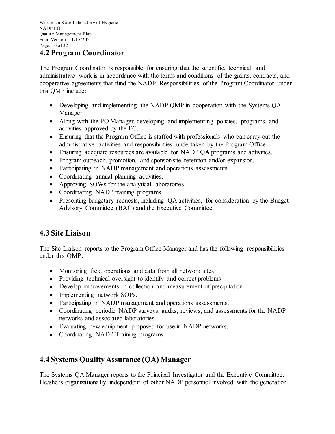Wisconsin State Laboratory of Hygiene NADP PO Quality Management Plan Final Version: 11/15/2021 Page: 16 of 32

#### **4.2 Program Coordinator**

The Program Coordinator is responsible for ensuring that the scientific, technical, and administrative work is in accordance with the terms and conditions of the grants, contracts, and cooperative agreements that fund the NADP. Responsibilities of the Program Coordinator under this QMP include:

- Developing and implementing the NADP QMP in cooperation with the Systems QA Manager.
- Along with the PO Manager, developing and implementing policies, programs, and activities approved by the EC.
- Ensuring that the Program Office is staffed with professionals who can carry out the administrative activities and responsibilities undertaken by the Program Office.
- Ensuring adequate resources are available for NADP QA programs and activities.
- Program outreach, promotion, and sponsor/site retention and/or expansion.
- Participating in NADP management and operations assessments.
- Coordinating annual planning activities.
- Approving SOWs for the analytical laboratories.
- Coordinating NADP training programs.
- Presenting budgetary requests, including OA activities, for consideration by the Budget Advisory Committee (BAC) and the Executive Committee.

# **4.3 Site Liaison**

The Site Liaison reports to the Program Office Manager and has the following responsibilities under this QMP:

- Monitoring field operations and data from all network sites
- Providing technical oversight to identify and correct problems
- Develop improvements in collection and measurement of precipitation
- Implementing network SOPs.
- Participating in NADP management and operations assessments.
- Coordinating periodic NADP surveys, audits, reviews, and assessments for the NADP networks and associated laboratories.
- Evaluating new equipment proposed for use in NADP networks.
- Coordinating NADP Training programs.

# **4.4 Systems Quality Assurance (QA) Manager**

The Systems QA Manager reports to the Principal Investigator and the Executive Committee. He/she is organizationally independent of other NADP personnel involved with the generation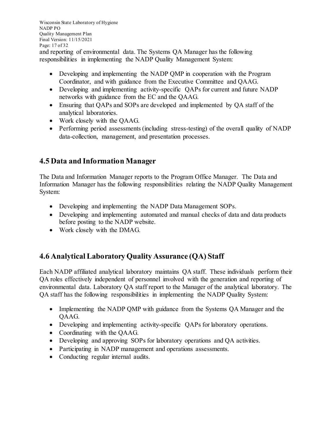Wisconsin State Laboratory of Hygiene NADP PO Quality Management Plan Final Version: 11/15/2021 Page: 17 of 32 and reporting of environmental data. The Systems QA Manager has the following responsibilities in implementing the NADP Quality Management System:

- Developing and implementing the NADP QMP in cooperation with the Program Coordinator, and with guidance from the Executive Committee and QAAG.
- Developing and implementing activity-specific QAPs for current and future NADP networks with guidance from the EC and the QAAG.
- Ensuring that QAPs and SOPs are developed and implemented by QA staff of the analytical laboratories.
- Work closely with the QAAG.
- Performing period assessments (including stress-testing) of the overall quality of NADP data-collection, management, and presentation processes.

# **4.5 Data and Information Manager**

The Data and Information Manager reports to the Program Office Manager. The Data and Information Manager has the following responsibilities relating the NADP Quality Management System:

- Developing and implementing the NADP Data Management SOPs.
- Developing and implementing automated and manual checks of data and data products before posting to the NADP website.
- Work closely with the DMAG.

# **4.6 Analytical Laboratory Quality Assurance (QA) Staff**

Each NADP affiliated analytical laboratory maintains QA staff. These individuals perform their QA roles effectively independent of personnel involved with the generation and reporting of environmental data. Laboratory QA staff report to the Manager of the analytical laboratory. The QA staff has the following responsibilities in implementing the NADP Quality System:

- Implementing the NADP QMP with guidance from the Systems QA Manager and the QAAG.
- Developing and implementing activity-specific QAPs for laboratory operations.
- Coordinating with the QAAG.
- Developing and approving SOPs for laboratory operations and QA activities.
- Participating in NADP management and operations assessments.
- Conducting regular internal audits.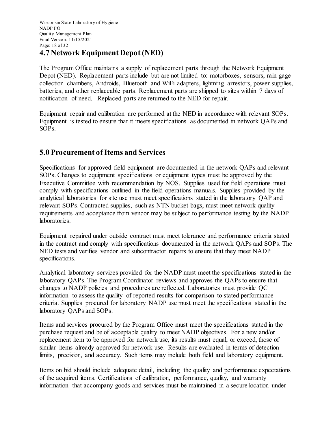# **4.7 Network Equipment Depot (NED)**

The Program Office maintains a supply of replacement parts through the Network Equipment Depot (NED). Replacement parts include but are not limited to: motorboxes, sensors, rain gage collection chambers, Androids, Bluetooth and WiFi adapters, lightning arrestors, power supplies, batteries, and other replaceable parts. Replacement parts are shipped to sites within 7 days of notification of need. Replaced parts are returned to the NED for repair.

Equipment repair and calibration are performed at the NED in accordance with relevant SOPs. Equipment is tested to ensure that it meets specifications as documented in network QAPs and SOPs.

## **5.0 Procurement of Items and Services**

Specifications for approved field equipment are documented in the network QAPs and relevant SOPs. Changes to equipment specifications or equipment types must be approved by the Executive Committee with recommendation by NOS. Supplies used for field operations must comply with specifications outlined in the field operations manuals. Supplies provided by the analytical laboratories for site use must meet specifications stated in the laboratory QAP and relevant SOPs. Contracted supplies, such as NTN bucket bags, must meet network quality requirements and acceptance from vendor may be subject to performance testing by the NADP laboratories.

Equipment repaired under outside contract must meet tolerance and performance criteria stated in the contract and comply with specifications documented in the network QAPs and SOPs. The NED tests and verifies vendor and subcontractor repairs to ensure that they meet NADP specifications.

Analytical laboratory services provided for the NADP must meet the specifications stated in the laboratory QAPs. The Program Coordinator reviews and approves the QAPs to ensure that changes to NADP policies and procedures are reflected. Laboratories must provide QC information to assess the quality of reported results for comparison to stated performance criteria. Supplies procured for laboratory NADP use must meet the specifications stated in the laboratory QAPs and SOPs.

Items and services procured by the Program Office must meet the specifications stated in the purchase request and be of acceptable quality to meet NADP objectives. For a new and/or replacement item to be approved for network use, its results must equal, or exceed, those of similar items already approved for network use. Results are evaluated in terms of detection limits, precision, and accuracy. Such items may include both field and laboratory equipment.

Items on bid should include adequate detail, including the quality and performance expectations of the acquired items. Certifications of calibration, performance, quality, and warranty information that accompany goods and services must be maintained in a secure location under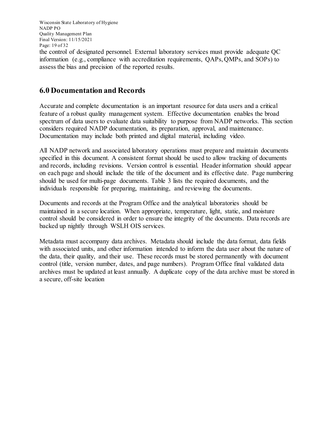Wisconsin State Laboratory of Hygiene NADP PO Quality Management Plan Final Version: 11/15/2021 Page: 19 of 32

the control of designated personnel. External laboratory services must provide adequate QC information (e.g., compliance with accreditation requirements, QAPs, QMPs, and SOPs) to assess the bias and precision of the reported results.

#### **6.0 Documentation and Records**

Accurate and complete documentation is an important resource for data users and a critical feature of a robust quality management system. Effective documentation enables the broad spectrum of data users to evaluate data suitability to purpose from NADP networks. This section considers required NADP documentation, its preparation, approval, and maintenance. Documentation may include both printed and digital material, including video.

All NADP network and associated laboratory operations must prepare and maintain documents specified in this document. A consistent format should be used to allow tracking of documents and records, including revisions. Version control is essential. Header information should appear on each page and should include the title of the document and its effective date. Page numbering should be used for multi-page documents. Table 3 lists the required documents, and the individuals responsible for preparing, maintaining, and reviewing the documents.

Documents and records at the Program Office and the analytical laboratories should be maintained in a secure location. When appropriate, temperature, light, static, and moisture control should be considered in order to ensure the integrity of the documents. Data records are backed up nightly through WSLH OIS services.

Metadata must accompany data archives. Metadata should include the data format, data fields with associated units, and other information intended to inform the data user about the nature of the data, their quality, and their use. These records must be stored permanently with document control (title, version number, dates, and page numbers). Program Office final validated data archives must be updated at least annually. A duplicate copy of the data archive must be stored in a secure, off-site location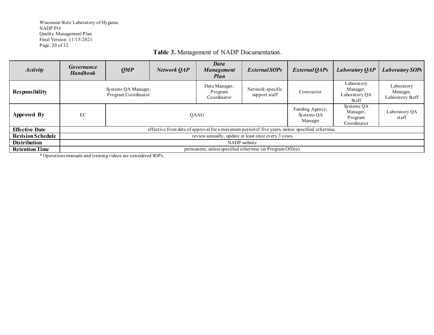Wisconsin State Laboratory of Hygiene NADP PO Quality Management Plan Final Version: 11/15/2021 Page: 20 of 32

#### **Table 3.** Management of NADP Documentation.

| <b>Activity</b>          | Governance<br><b>Handbook</b>                                                                   | QMP  | Network QAP                             | Data<br><b>Management</b><br>Plan                         | <i>External SOPs</i>                     | External QAPs                                    | <b>Laboratory QAP</b>                      | <b>Laboratory SOPs</b> |
|--------------------------|-------------------------------------------------------------------------------------------------|------|-----------------------------------------|-----------------------------------------------------------|------------------------------------------|--------------------------------------------------|--------------------------------------------|------------------------|
| <b>Responsibility</b>    | Systems QA Manager,<br>Program Coordinator                                                      |      | Data Manager,<br>Program<br>Coordinator | Network-specific<br>support staff                         | Contractor                               | Laboratory<br>Manager,<br>Laboratory QA<br>Staff | Laboratory<br>Manager,<br>Laboratory Staff |                        |
| <b>Approved By</b>       | EC                                                                                              | OAAG |                                         |                                                           | Funding Agency,<br>Systems OA<br>Manager | Systems OA<br>Manager,<br>Program<br>Coordinator | Laboratory OA<br>staff                     |                        |
| <b>Effective Date</b>    | effective from date of approval for a maximum period of five years, unless specified otherwise. |      |                                         |                                                           |                                          |                                                  |                                            |                        |
| <b>Revision Schedule</b> | review annually, update at least once every 3 years                                             |      |                                         |                                                           |                                          |                                                  |                                            |                        |
| <b>Distribution</b>      | NADP website                                                                                    |      |                                         |                                                           |                                          |                                                  |                                            |                        |
| <b>Retention Time</b>    |                                                                                                 |      |                                         | permanent, unless specified otherwise (at Program Office) |                                          |                                                  |                                            |                        |

*\** Operations manuals and training videos are considered SOPs.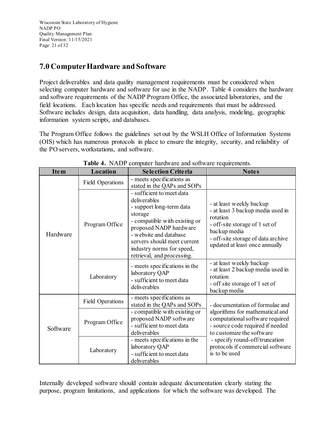Wisconsin State Laboratory of Hygiene NADP PO Quality Management Plan Final Version: 11/15/2021 Page: 21 of 32

## **7.0 Computer Hardware and Software**

Project deliverables and data quality management requirements must be considered when selecting computer hardware and software for use in the NADP. Table 4 considers the hardware and software requirements of the NADP Program Office, the associated laboratories, and the field locations. Each location has specific needs and requirements that must be addressed. Software includes design, data acquisition, data handling, data analysis, modeling, geographic information system scripts, and databases.

The Program Office follows the guidelines set out by the WSLH Office of Information Systems (OIS) which has numerous protocols in place to ensure the integrity, security, and reliability of the PO servers, workstations, and software.

| <b>Item</b> | <b>Location</b>         | <b>Selection Criteria</b>                                                                                                                                                                                                                                       | <b>Notes</b>                                                                                                                                                                                        |
|-------------|-------------------------|-----------------------------------------------------------------------------------------------------------------------------------------------------------------------------------------------------------------------------------------------------------------|-----------------------------------------------------------------------------------------------------------------------------------------------------------------------------------------------------|
|             | <b>Field Operations</b> | - meets specifications as<br>stated in the QAPs and SOPs                                                                                                                                                                                                        |                                                                                                                                                                                                     |
| Hardware    | Program Office          | - sufficient to meet data<br>deliverables<br>- support long-term data<br>storage<br>- compatible with existing or<br>proposed NADP hardware<br>- website and database<br>servers should meet current<br>industry norms for speed,<br>retrieval, and processing. | - at least weekly backup<br>- at least 3 backup media used in<br>rotation<br>- off-site storage of 1 set of<br>backup media<br>- off-site storage of data archive<br>updated at least once annually |
|             | Laboratory              | - meets specifications in the<br>laboratory QAP<br>- sufficient to meet data<br>deliverables                                                                                                                                                                    | - at least weekly backup<br>- at least 2 backup media used in<br>rotation<br>- off site storage of 1 set of<br>backup media                                                                         |
| Software    | <b>Field Operations</b> | - meets specifications as<br>stated in the QAPs and SOPs                                                                                                                                                                                                        | - documentation of formulae and                                                                                                                                                                     |
|             | Program Office          | - compatible with existing or<br>proposed NADP software<br>- sufficient to meet data<br>deliverables                                                                                                                                                            | algorithms for mathematical and<br>computational software required<br>- source code required if needed<br>to customize the software                                                                 |
|             | Laboratory              | - meets specifications in the<br>laboratory QAP<br>- sufficient to meet data<br>deliverables                                                                                                                                                                    | - specify round-off/truncation<br>protocols if commercial software<br>is to be used                                                                                                                 |

**Table 4.** NADP computer hardware and software requirements.

Internally developed software should contain adequate documentation clearly stating the purpose, program limitations, and applications for which the software was developed. The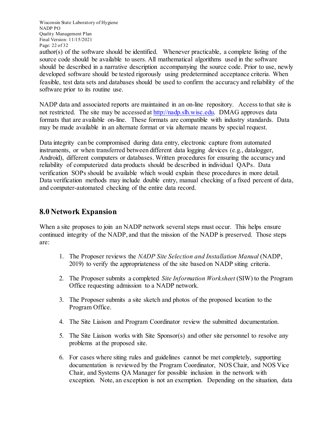Wisconsin State Laboratory of Hygiene NADP PO Quality Management Plan Final Version: 11/15/2021 Page: 22 of 32

author(s) of the software should be identified. Whenever practicable, a complete listing of the source code should be available to users. All mathematical algorithms used in the software should be described in a narrative description accompanying the source code. Prior to use, newly developed software should be tested rigorously using predetermined acceptance criteria. When feasible, test data sets and databases should be used to confirm the accuracy and reliability of the software prior to its routine use.

NADP data and associated reports are maintained in an on-line repository. Access to that site is not restricted. The site may be accessed at [http://nadp.slh.wisc.edu.](http://nadp.slh.wisc.edu/) DMAG approves data formats that are available on-line. These formats are compatible with industry standards. Data may be made available in an alternate format or via alternate means by special request.

Data integrity can be compromised during data entry, electronic capture from automated instruments, or when transferred between different data logging devices (e.g., datalogger, Android), different computers or databases. Written procedures for ensuring the accuracy and reliability of computerized data products should be described in individual QAPs. Data verification SOPs should be available which would explain these procedures in more detail. Data verification methods may include double entry, manual checking of a fixed percent of data, and computer-automated checking of the entire data record.

#### **8.0 Network Expansion**

When a site proposes to join an NADP network several steps must occur. This helps ensure continued integrity of the NADP, and that the mission of the NADP is preserved. Those steps are:

- 1. The Proposer reviews the *NADP Site Selection and Installation Manual* (NADP, 2019) to verify the appropriateness of the site based on NADP siting criteria.
- 2. The Proposer submits a completed *Site Information Worksheet* (SIW) to the Program Office requesting admission to a NADP network.
- 3. The Proposer submits a site sketch and photos of the proposed location to the Program Office.
- 4. The Site Liaison and Program Coordinator review the submitted documentation.
- 5. The Site Liaison works with Site Sponsor(s) and other site personnel to resolve any problems at the proposed site.
- 6. For cases where siting rules and guidelines cannot be met completely, supporting documentation is reviewed by the Program Coordinator, NOS Chair, and NOS Vice Chair, and Systems QA Manager for possible inclusion in the network with exception. Note, an exception is not an exemption. Depending on the situation, data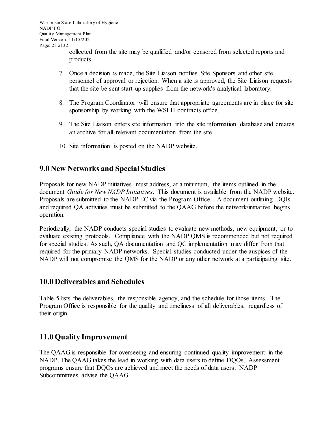collected from the site may be qualified and/or censored from selected reports and products.

- 7. Once a decision is made, the Site Liaison notifies Site Sponsors and other site personnel of approval or rejection. When a site is approved, the Site Liaison requests that the site be sent start-up supplies from the network's analytical laboratory.
- 8. The Program Coordinator will ensure that appropriate agreements are in place for site sponsorship by working with the WSLH contracts office.
- 9. The Site Liaison enters site information into the site information database and creates an archive for all relevant documentation from the site.
- 10. Site information is posted on the NADP website.

## **9.0 New Networks and Special Studies**

Proposals for new NADP initiatives must address, at a minimum, the items outlined in the document *Guide for New NADP Initiatives*. This document is available from the NADP website. Proposals are submitted to the NADP EC via the Program Office. A document outlining DQIs and required QA activities must be submitted to the QAAG before the network/initiative begins operation.

Periodically, the NADP conducts special studies to evaluate new methods, new equipment, or to evaluate existing protocols. Compliance with the NADP QMS is recommended but not required for special studies. As such, QA documentation and QC implementation may differ from that required for the primary NADP networks. Special studies conducted under the auspices of the NADP will not compromise the QMS for the NADP or any other network at a participating site.

#### **10.0 Deliverables and Schedules**

Table 5 lists the deliverables, the responsible agency, and the schedule for those items. The Program Office is responsible for the quality and timeliness of all deliverables, regardless of their origin.

#### **11.0 Quality Improvement**

The QAAG is responsible for overseeing and ensuring continued quality improvement in the NADP. The QAAG takes the lead in working with data users to define DQOs. Assessment programs ensure that DQOs are achieved and meet the needs of data users. NADP Subcommittees advise the QAAG.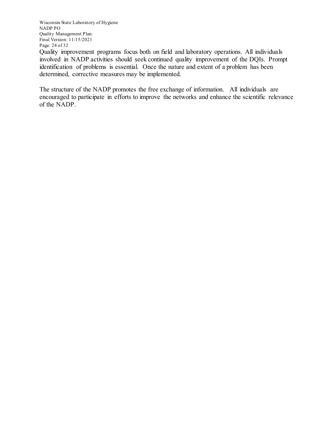Wisconsin State Laboratory of Hygiene NADP PO Quality Management Plan Final Version: 11/15/2021 Page: 24 of 32

Quality improvement programs focus both on field and laboratory operations. All individuals involved in NADP activities should seek continued quality improvement of the DQIs. Prompt identification of problems is essential. Once the nature and extent of a problem has been determined, corrective measures may be implemented.

The structure of the NADP promotes the free exchange of information. All individuals are encouraged to participate in efforts to improve the networks and enhance the scientific relevance of the NADP.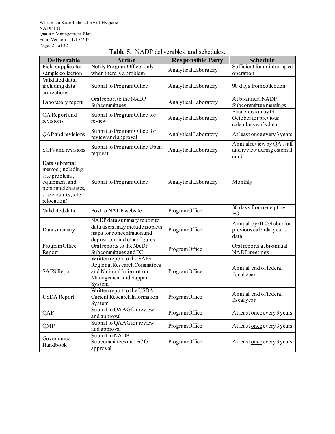Wisconsin State Laboratory of Hygiene NADP PO Quality Management Plan Final Version: 11/15/2021 Page: 25 of 32

| <b>Deliverable</b>                                                                                                                 | <b>Action</b>                                                                                                                   | <b>Responsible Party</b> | <b>Schedule</b>                                                     |
|------------------------------------------------------------------------------------------------------------------------------------|---------------------------------------------------------------------------------------------------------------------------------|--------------------------|---------------------------------------------------------------------|
| Field supplies for<br>sample collection                                                                                            | Notify Program Office, only<br>when there is a problem                                                                          | Analytical Laboratory    | Sufficient for uninterrupted<br>operation                           |
| Validated data,<br>including data<br>corrections                                                                                   | Submit to Program Office                                                                                                        | Analytical Laboratory    | 90 days from collection                                             |
| Laboratory report                                                                                                                  | Oral report to the NADP<br>Subcommittees                                                                                        | Analytical Laboratory    | At bi-annual NADP<br>Subcommittee meetings                          |
| QA Report and<br>revisions                                                                                                         | Submit to ProgramOffice for<br>review                                                                                           | Analytical Laboratory    | Final version by 01<br>October for previous<br>calendar year's data |
| QAP and revisions                                                                                                                  | Submit to ProgramOffice for<br>review and approval                                                                              | Analytical Laboratory    | At least once every 3 years                                         |
| SOPs and revisions                                                                                                                 | Submit to Program Office Upon<br>request                                                                                        | Analytical Laboratory    | Annual review by QA staff<br>and review during external<br>audit    |
| Data submittal<br>memos (including:<br>site problems,<br>equipment and<br>personnel changes,<br>site closures, site<br>relocation) | Submit to Program Office                                                                                                        | Analytical Laboratory    | Monthly                                                             |
| Validated data                                                                                                                     | Post to NADP website                                                                                                            | ProgramOffice            | 30 days from receipt by<br>P <sub>O</sub>                           |
| Data summary                                                                                                                       | NADP data summary report to<br>data users, may include is opleth<br>maps for concentration and<br>deposition, and other figures | ProgramOffice            | Annual, by 01 October for<br>previous calendar year's<br>data       |
| ProgramOffice<br>Report                                                                                                            | Oral reports to the NADP<br>Subcommittees and EC                                                                                | ProgramOffice            | Oral reports at bi-annual<br>NADP meetings                          |
| <b>SAES</b> Report                                                                                                                 | Written report to the SAES<br>Regional Research Committees<br>and National Information<br>Management and Support<br>System      | ProgramOffice            | Annual, end of federal<br>fiscalyear                                |
| <b>USDA</b> Report                                                                                                                 | Written report to the USDA<br>Current Research Information<br>System                                                            | ProgramOffice            | Annual, end of federal<br>fiscalyear                                |
| QAP                                                                                                                                | Submit to QAAG for review<br>and approval                                                                                       | ProgramOffice            | At least once every 3 years                                         |
| QMP                                                                                                                                | Submit to QAAG for review<br>and approval                                                                                       | ProgramOffice            | At least once every 3 years                                         |
| Governance<br>Handbook                                                                                                             | Submit to NADP<br>Subcommittees and EC for<br>approval                                                                          | ProgramOffice            | At least once every 3 years                                         |

#### **Table 5.** NADP deliverables and schedules.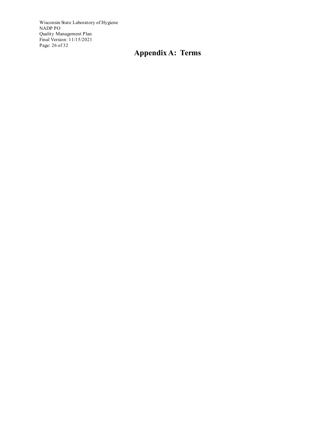Wisconsin State Laboratory of Hygiene NADP PO Quality Management Plan Final Version: 11/15/2021 Page: 26 of 32

# **Appendix A: Terms**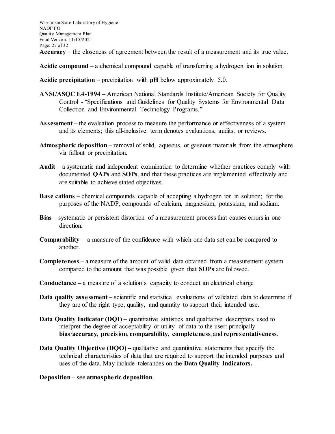Wisconsin State Laboratory of Hygiene NADP PO Quality Management Plan Final Version: 11/15/2021 Page: 27 of 32 **Accuracy** – the closeness of agreement between the result of a measurement and its true value.

**Acidic compound** – a chemical compound capable of transferring a hydrogen ion in solution.

**Acidic precipitation** – precipitation with **pH** below approximately 5.0.

- **ANSI/ASQC E4-1994** American National Standards Institute/American Society for Quality Control - "Specifications and Guidelines for Quality Systems for Environmental Data Collection and Environmental Technology Programs."
- **Assessment**  the evaluation process to measure the performance or effectiveness of a system and its elements; this all-inclusive term denotes evaluations, audits, or reviews.
- **Atmospheric deposition** removal of solid, aqueous, or gaseous materials from the atmosphere via fallout or precipitation.
- **Audit** a systematic and independent examination to determine whether practices comply with documented **QAPs** and **SOPs**, and that these practices are implemented effectively and are suitable to achieve stated objectives.
- **Base cations** chemical compounds capable of accepting a hydrogen ion in solution; for the purposes of the NADP, compounds of calcium, magnesium, potassium, and sodium.
- **Bias**  systematic or persistent distortion of a measurement process that causes errors in one direction**.**
- **Comparability** a measure of the confidence with which one data set can be compared to another.
- **Completeness** a measure of the amount of valid data obtained from a measurement system compared to the amount that was possible given that **SOPs** are followed.
- **Conductance –** a measure of a solution's capacity to conduct an electrical charge
- **Data quality assessment** scientific and statistical evaluations of validated data to determine if they are of the right type, quality, and quantity to support their intended use.
- **Data Quality Indicator (DQI)** quantitative statistics and qualitative descriptors used to interpret the degree of acceptability or utility of data to the user: principally **bias**/**accuracy**, **precision**, **comparability**, **completeness**, and **representativeness**.
- **Data Quality Objective (DQO)** qualitative and quantitative statements that specify the technical characteristics of data that are required to support the intended purposes and uses of the data. May include tolerances on the **Data Quality Indicators.**
- **Deposition** see **atmospheric deposition**.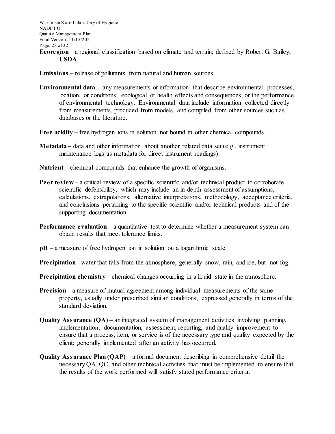Wisconsin State Laboratory of Hygiene NADP PO Quality Management Plan Final Version: 11/15/2021 Page: 28 of 32 **Ecoregion** – a regional classification based on climate and terrain; defined by Robert G. Bailey, **USDA**.

**Emissions** – release of pollutants from natural and human sources.

- **Environmental data**  any measurements or information that describe environmental processes, location, or conditions; ecological or health effects and consequences; or the performance of environmental technology. Environmental data include information collected directly from measurements, produced from models, and compiled from other sources such as databases or the literature.
- **Free acidity** free hydrogen ions in solution not bound in other chemical compounds.
- **Metadata** data and other information about another related data set (e.g., instrument maintenance logs as metadata for direct instrument readings).
- **Nutrient** chemical compounds that enhance the growth of organisms.
- **Peer review**  a critical review of a specific scientific and/or technical product to corroborate scientific defensibility, which may include an in-depth assessment of assumptions, calculations, extrapolations, alternative interpretations, methodology, acceptance criteria, and conclusions pertaining to the specific scientific and/or technical products and of the supporting documentation.
- **Performance evaluation** a quantitative test to determine whether a measurement system can obtain results that meet tolerance limits.
- **pH** a measure of free hydrogen ion in solution on a logarithmic scale.
- **Precipitation** water that falls from the atmosphere, generally snow, rain, and ice, but not fog.
- **Precipitation chemistry** chemical changes occurring in a liquid state in the atmosphere.
- **Precision** a measure of mutual agreement among individual measurements of the same property, usually under prescribed similar conditions, expressed generally in terms of the standard deviation.
- **Quality Assurance (QA)** an integrated system of management activities involving planning, implementation, documentation, assessment, reporting, and quality improvement to ensure that a process, item, or service is of the necessary type and quality expected by the client; generally implemented after an activity has occurred.
- **Quality Assurance Plan (QAP)**  a formal document describing in comprehensive detail the necessary QA, QC, and other technical activities that must be implemented to ensure that the results of the work performed will satisfy stated performance criteria.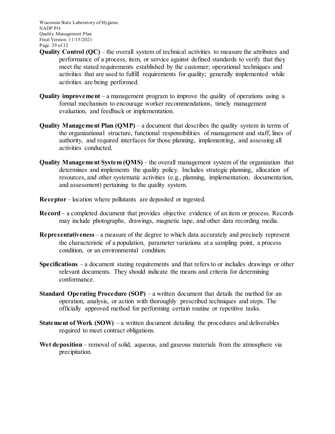Wisconsin State Laboratory of Hygiene NADP PO Quality Management Plan Final Version: 11/15/2021 Page: 29 of 32

- **Quality Control (OC)** the overall system of technical activities to measure the attributes and performance of a process, item, or service against defined standards to verify that they meet the stated requirements established by the customer; operational techniques and activities that are used to fulfill requirements for quality; generally implemented while activities are being performed.
- **Quality improvement**  a management program to improve the quality of operations using a formal mechanism to encourage worker recommendations, timely management evaluation, and feedback or implementation.
- **Quality Management Plan (QMP)** a document that describes the quality system in terms of the organizational structure, functional responsibilities of management and staff, lines of authority, and required interfaces for those planning, implementing, and assessing all activities conducted.
- **Quality Management System (QMS)**  the overall management system of the organization that determines and implements the quality policy. Includes strategic planning, allocation of resources, and other systematic activities (e.g., planning, implementation, documentation, and assessment) pertaining to the quality system.
- **Receptor** location where pollutants are deposited or ingested.
- **Record**  a completed document that provides objective evidence of an item or process. Records may include photographs, drawings, magnetic tape, and other data recording media.
- **Representativeness** a measure of the degree to which data accurately and precisely represent the characteristic of a population, parameter variations at a sampling point, a process condition, or an environmental condition.
- **Specifications**  a document stating requirements and that refers to or includes drawings or other relevant documents. They should indicate the means and criteria for determining conformance.
- **Standard Operating Procedure (SOP)** a written document that details the method for an operation, analysis, or action with thoroughly prescribed techniques and steps. The officially approved method for performing certain routine or repetitive tasks.
- **Statement of Work (SOW)** a written document detailing the procedures and deliverables required to meet contract obligations.
- Wet deposition removal of solid, aqueous, and gaseous materials from the atmosphere via precipitation.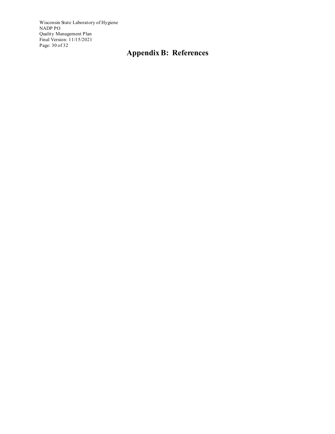Wisconsin State Laboratory of Hygiene NADP PO Quality Management Plan Final Version: 11/15/2021 Page: 30 of 32

# **Appendix B: References**